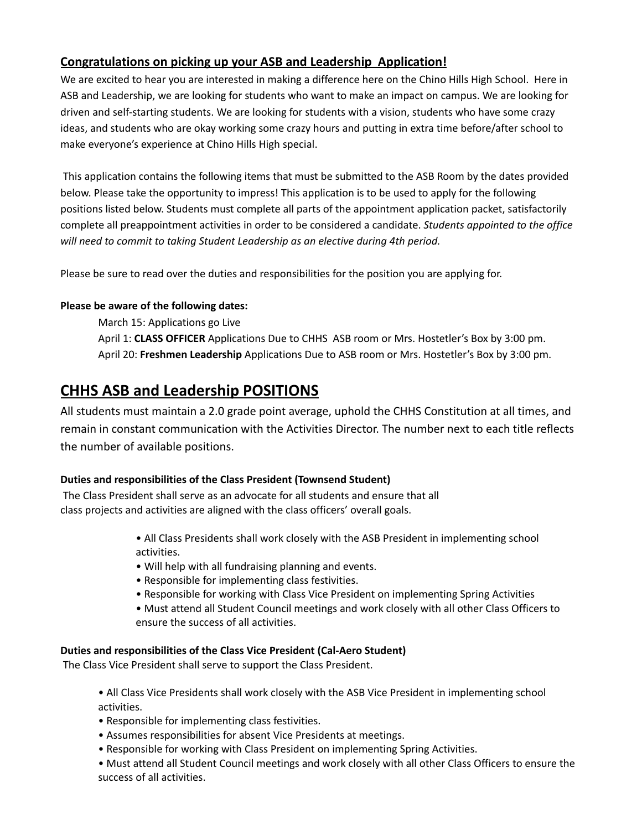# **Congratulations on picking up your ASB and Leadership Application!**

We are excited to hear you are interested in making a difference here on the Chino Hills High School. Here in ASB and Leadership, we are looking for students who want to make an impact on campus. We are looking for driven and self-starting students. We are looking for students with a vision, students who have some crazy ideas, and students who are okay working some crazy hours and putting in extra time before/after school to make everyone's experience at Chino Hills High special.

This application contains the following items that must be submitted to the ASB Room by the dates provided below. Please take the opportunity to impress! This application is to be used to apply for the following positions listed below. Students must complete all parts of the appointment application packet, satisfactorily complete all preappointment activities in order to be considered a candidate. *Students appointed to the office will need to commit to taking Student Leadership as an elective during 4th period.*

Please be sure to read over the duties and responsibilities for the position you are applying for.

### **Please be aware of the following dates:**

March 15: Applications go Live April 1: **CLASS OFFICER** Applications Due to CHHS ASB room or Mrs. Hostetler's Box by 3:00 pm. April 20: **Freshmen Leadership** Applications Due to ASB room or Mrs. Hostetler's Box by 3:00 pm.

# **CHHS ASB and Leadership POSITIONS**

All students must maintain a 2.0 grade point average, uphold the CHHS Constitution at all times, and remain in constant communication with the Activities Director. The number next to each title reflects the number of available positions.

## **Duties and responsibilities of the Class President (Townsend Student)**

The Class President shall serve as an advocate for all students and ensure that all class projects and activities are aligned with the class officers' overall goals.

> • All Class Presidents shall work closely with the ASB President in implementing school activities.

• Will help with all fundraising planning and events.

- Responsible for implementing class festivities.
- Responsible for working with Class Vice President on implementing Spring Activities

• Must attend all Student Council meetings and work closely with all other Class Officers to ensure the success of all activities.

## **Duties and responsibilities of the Class Vice President (Cal-Aero Student)**

The Class Vice President shall serve to support the Class President.

• All Class Vice Presidents shall work closely with the ASB Vice President in implementing school activities.

- Responsible for implementing class festivities.
- Assumes responsibilities for absent Vice Presidents at meetings.
- Responsible for working with Class President on implementing Spring Activities.

• Must attend all Student Council meetings and work closely with all other Class Officers to ensure the success of all activities.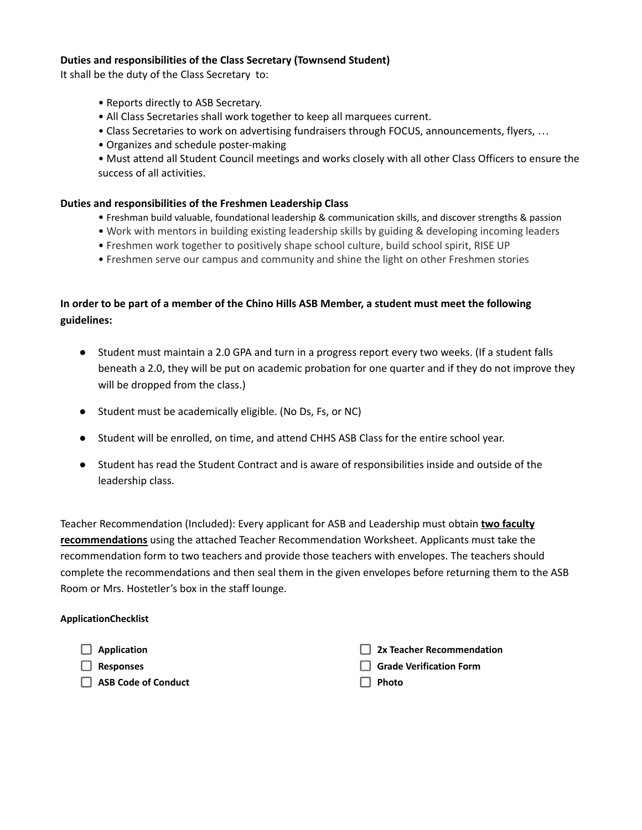#### **Duties and responsibilities of the Class Secretary (Townsend Student)**

It shall be the duty of the Class Secretary to:

- Reports directly to ASB Secretary.
- All Class Secretaries shall work together to keep all marquees current.
- Class Secretaries to work on advertising fundraisers through FOCUS, announcements, flyers, …
- Organizes and schedule poster-making
- Must attend all Student Council meetings and works closely with all other Class Officers to ensure the success of all activities.

#### **Duties and responsibilities of the Freshmen Leadership Class**

- Freshman build valuable, foundational leadership & communication skills, and discover strengths & passion
- Work with mentors in building existing leadership skills by guiding & developing incoming leaders
- Freshmen work together to positively shape school culture, build school spirit, RISE UP
- Freshmen serve our campus and community and shine the light on other Freshmen stories

### In order to be part of a member of the Chino Hills ASB Member, a student must meet the following **guidelines:**

- Student must maintain a 2.0 GPA and turn in a progress report every two weeks. (If a student falls beneath a 2.0, they will be put on academic probation for one quarter and if they do not improve they will be dropped from the class.)
- Student must be academically eligible. (No Ds, Fs, or NC)
- Student will be enrolled, on time, and attend CHHS ASB Class for the entire school year.
- Student has read the Student Contract and is aware of responsibilities inside and outside of the leadership class.

Teacher Recommendation (Included): Every applicant for ASB and Leadership must obtain **two faculty recommendations** using the attached Teacher Recommendation Worksheet. Applicants must take the recommendation form to two teachers and provide those teachers with envelopes. The teachers should complete the recommendations and then seal them in the given envelopes before returning them to the ASB Room or Mrs. Hostetler's box in the staff lounge.

#### **ApplicationChecklist**

П

П

| Application                | 2x Teacher Recommendation      |
|----------------------------|--------------------------------|
| Responses                  | $\Box$ Grade Verification Form |
| <b>ASB Code of Conduct</b> | $\Box$ Photo                   |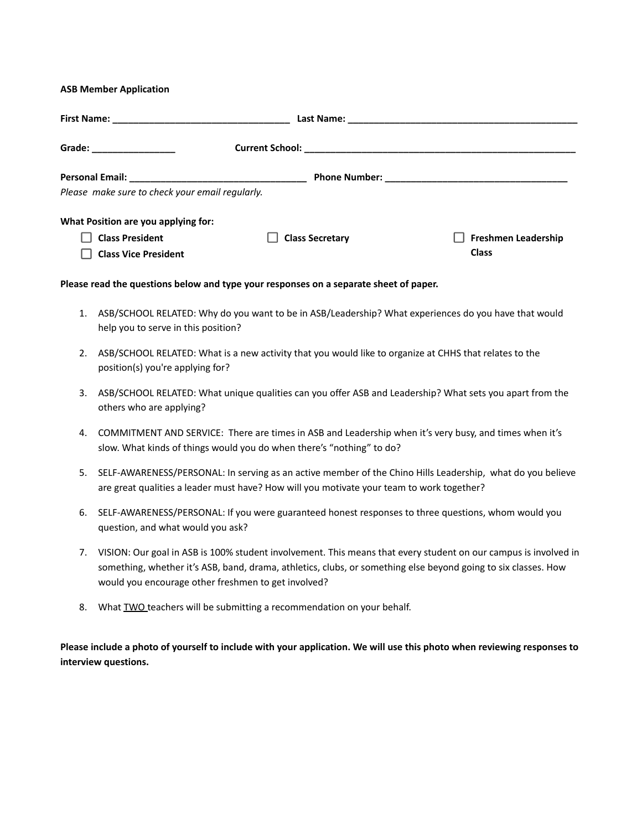#### **ASB Member Application**

| Grade: _________________                        |                        |                            |  |  |
|-------------------------------------------------|------------------------|----------------------------|--|--|
|                                                 |                        |                            |  |  |
| Please make sure to check your email regularly. |                        |                            |  |  |
| What Position are you applying for:             |                        |                            |  |  |
| <b>Class President</b>                          | <b>Class Secretary</b> | <b>Freshmen Leadership</b> |  |  |
| <b>Class Vice President</b>                     |                        | <b>Class</b>               |  |  |

#### **Please read the questions below and type your responses on a separate sheet of paper.**

- 1. ASB/SCHOOL RELATED: Why do you want to be in ASB/Leadership? What experiences do you have that would help you to serve in this position?
- 2. ASB/SCHOOL RELATED: What is a new activity that you would like to organize at CHHS that relates to the position(s) you're applying for?
- 3. ASB/SCHOOL RELATED: What unique qualities can you offer ASB and Leadership? What sets you apart from the others who are applying?
- 4. COMMITMENT AND SERVICE: There are times in ASB and Leadership when it's very busy, and times when it's slow. What kinds of things would you do when there's "nothing" to do?
- 5. SELF-AWARENESS/PERSONAL: In serving as an active member of the Chino Hills Leadership, what do you believe are great qualities a leader must have? How will you motivate your team to work together?
- 6. SELF-AWARENESS/PERSONAL: If you were guaranteed honest responses to three questions, whom would you question, and what would you ask?
- 7. VISION: Our goal in ASB is 100% student involvement. This means that every student on our campus is involved in something, whether it's ASB, band, drama, athletics, clubs, or something else beyond going to six classes. How would you encourage other freshmen to get involved?
- 8. What TWO teachers will be submitting a recommendation on your behalf.

Please include a photo of yourself to include with your application. We will use this photo when reviewing responses to **interview questions.**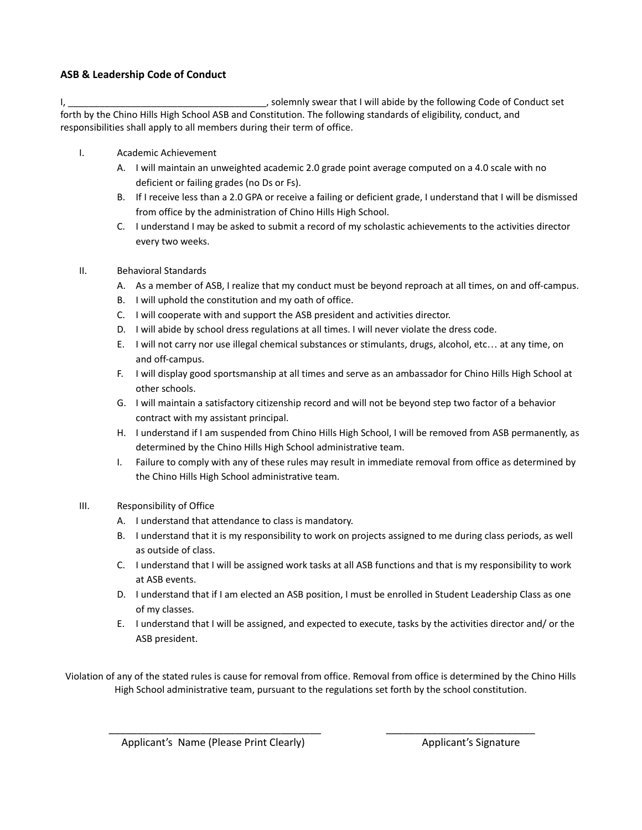#### **ASB & Leadership Code of Conduct**

I, the conduct set of the solemnly swear that I will abide by the following Code of Conduct set forth by the Chino Hills High School ASB and Constitution. The following standards of eligibility, conduct, and responsibilities shall apply to all members during their term of office.

- I. Academic Achievement
	- A. I will maintain an unweighted academic 2.0 grade point average computed on a 4.0 scale with no deficient or failing grades (no Ds or Fs).
	- B. If I receive less than a 2.0 GPA or receive a failing or deficient grade, I understand that I will be dismissed from office by the administration of Chino Hills High School.
	- C. I understand I may be asked to submit a record of my scholastic achievements to the activities director every two weeks.
- II. Behavioral Standards
	- A. As a member of ASB, I realize that my conduct must be beyond reproach at all times, on and off-campus.
	- B. I will uphold the constitution and my oath of office.
	- C. I will cooperate with and support the ASB president and activities director.
	- D. I will abide by school dress regulations at all times. I will never violate the dress code.
	- E. I will not carry nor use illegal chemical substances or stimulants, drugs, alcohol, etc… at any time, on and off-campus.
	- F. I will display good sportsmanship at all times and serve as an ambassador for Chino Hills High School at other schools.
	- G. I will maintain a satisfactory citizenship record and will not be beyond step two factor of a behavior contract with my assistant principal.
	- H. I understand if I am suspended from Chino Hills High School, I will be removed from ASB permanently, as determined by the Chino Hills High School administrative team.
	- I. Failure to comply with any of these rules may result in immediate removal from office as determined by the Chino Hills High School administrative team.
- III. Responsibility of Office
	- A. I understand that attendance to class is mandatory.
	- B. I understand that it is my responsibility to work on projects assigned to me during class periods, as well as outside of class.
	- C. I understand that I will be assigned work tasks at all ASB functions and that is my responsibility to work at ASB events.
	- D. I understand that if I am elected an ASB position, I must be enrolled in Student Leadership Class as one of my classes.
	- E. I understand that I will be assigned, and expected to execute, tasks by the activities director and/ or the ASB president.

Violation of any of the stated rules is cause for removal from office. Removal from office is determined by the Chino Hills High School administrative team, pursuant to the regulations set forth by the school constitution.

\_\_\_\_\_\_\_\_\_\_\_\_\_\_\_\_\_\_\_\_\_\_\_\_\_\_\_\_\_\_\_\_\_\_\_\_\_ \_\_\_\_\_\_\_\_\_\_\_\_\_\_\_\_\_\_\_\_\_\_\_\_\_\_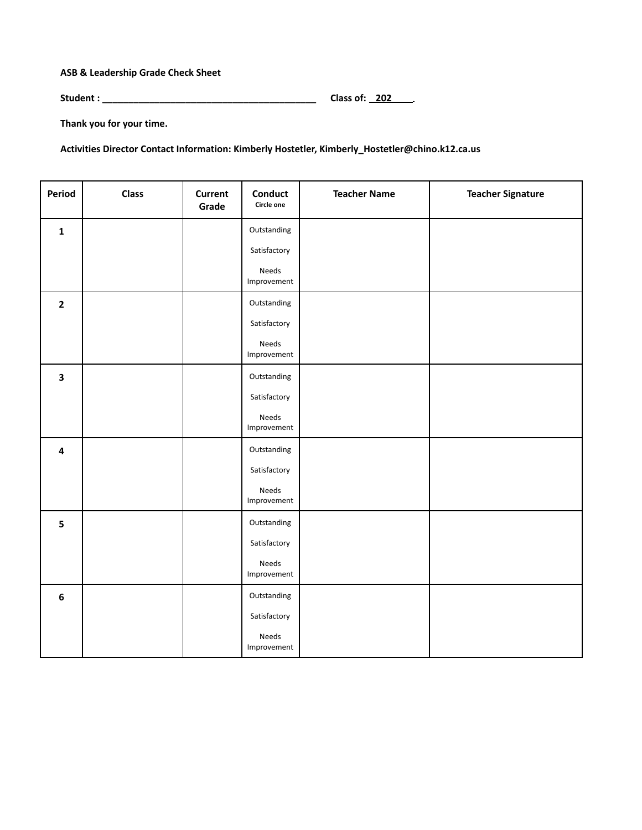**ASB & Leadership Grade Check Sheet**

**Student : \_\_\_\_\_\_\_\_\_\_\_\_\_\_\_\_\_\_\_\_\_\_\_\_\_\_\_\_\_\_\_\_\_\_\_\_\_\_\_\_\_ Class of: 202 .**

**Thank you for your time.**

**Activities Director Contact Information: Kimberly Hostetler, Kimberly\_Hostetler@chino.k12.ca.us**

| <b>Period</b>           | <b>Class</b> | <b>Current</b><br>Grade | Conduct<br>Circle one | <b>Teacher Name</b> | <b>Teacher Signature</b> |
|-------------------------|--------------|-------------------------|-----------------------|---------------------|--------------------------|
| $\mathbf{1}$            |              |                         | Outstanding           |                     |                          |
|                         |              |                         | Satisfactory          |                     |                          |
|                         |              |                         | Needs<br>Improvement  |                     |                          |
| $\mathbf{2}$            |              |                         | Outstanding           |                     |                          |
|                         |              |                         | Satisfactory          |                     |                          |
|                         |              |                         | Needs<br>Improvement  |                     |                          |
| $\overline{\mathbf{3}}$ |              |                         | Outstanding           |                     |                          |
|                         |              |                         | Satisfactory          |                     |                          |
|                         |              |                         | Needs<br>Improvement  |                     |                          |
| $\overline{\mathbf{4}}$ |              |                         | Outstanding           |                     |                          |
|                         |              |                         | Satisfactory          |                     |                          |
|                         |              |                         | Needs<br>Improvement  |                     |                          |
| 5                       |              |                         | Outstanding           |                     |                          |
|                         |              |                         | Satisfactory          |                     |                          |
|                         |              |                         | Needs<br>Improvement  |                     |                          |
| $\bf 6$                 |              |                         | Outstanding           |                     |                          |
|                         |              |                         | Satisfactory          |                     |                          |
|                         |              |                         | Needs<br>Improvement  |                     |                          |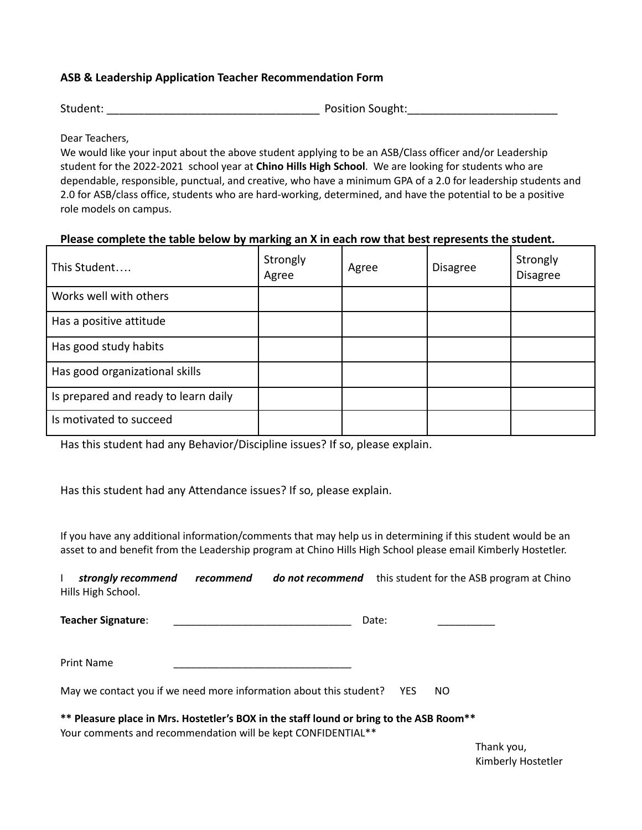### **ASB & Leadership Application Teacher Recommendation Form**

Student: The Contract of the Sought: All and Sought: All and Sought:  $\sim$  Position Sought:

Dear Teachers,

We would like your input about the above student applying to be an ASB/Class officer and/or Leadership student for the 2022-2021 school year at **Chino Hills High School**. We are looking for students who are dependable, responsible, punctual, and creative, who have a minimum GPA of a 2.0 for leadership students and 2.0 for ASB/class office, students who are hard-working, determined, and have the potential to be a positive role models on campus.

### **Please complete the table below by marking an X in each row that best represents the student.**

| This Student                         | Strongly<br>Agree | Agree | <b>Disagree</b> | Strongly<br><b>Disagree</b> |
|--------------------------------------|-------------------|-------|-----------------|-----------------------------|
| Works well with others               |                   |       |                 |                             |
| Has a positive attitude              |                   |       |                 |                             |
| Has good study habits                |                   |       |                 |                             |
| Has good organizational skills       |                   |       |                 |                             |
| Is prepared and ready to learn daily |                   |       |                 |                             |
| Is motivated to succeed              |                   |       |                 |                             |

Has this student had any Behavior/Discipline issues? If so, please explain.

Has this student had any Attendance issues? If so, please explain.

If you have any additional information/comments that may help us in determining if this student would be an asset to and benefit from the Leadership program at Chino Hills High School please email Kimberly Hostetler.

I *strongly recommend recommend do not recommend* this student for the ASB program at Chino Hills High School.

**Teacher Signature**: \_\_\_\_\_\_\_\_\_\_\_\_\_\_\_\_\_\_\_\_\_\_\_\_\_\_\_\_\_\_\_ Date: \_\_\_\_\_\_\_\_\_\_

Print Name

May we contact you if we need more information about this student? YES NO

**\*\* Pleasure place in Mrs. Hostetler's BOX in the staff lound or bring to the ASB Room\*\*** Your comments and recommendation will be kept CONFIDENTIAL\*\*

> Thank you, Kimberly Hostetler